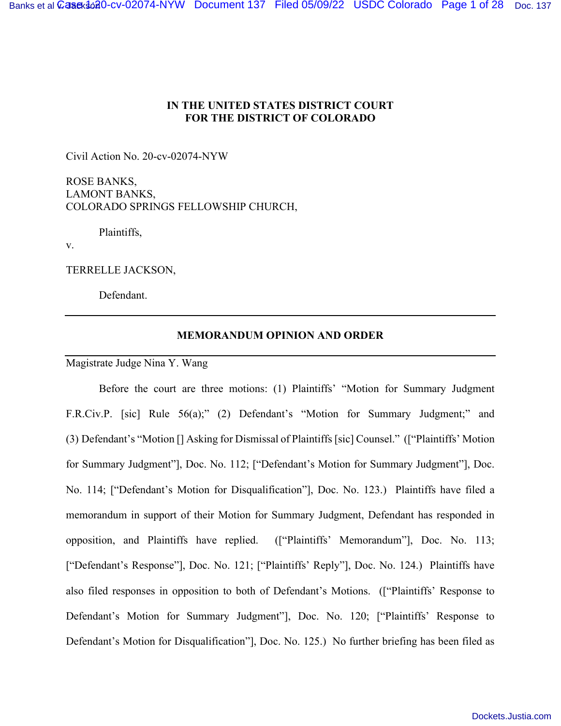# **IN THE UNITED STATES DISTRICT COURT FOR THE DISTRICT OF COLORADO**

Civil Action No. 20-cv-02074-NYW

ROSE BANKS, LAMONT BANKS, COLORADO SPRINGS FELLOWSHIP CHURCH,

Plaintiffs,

v.

TERRELLE JACKSON,

Defendant.

# **MEMORANDUM OPINION AND ORDER**

Magistrate Judge Nina Y. Wang

Before the court are three motions: (1) Plaintiffs' "Motion for Summary Judgment F.R.Civ.P. [sic] Rule 56(a);" (2) Defendant's "Motion for Summary Judgment;" and (3) Defendant's "Motion [] Asking for Dismissal of Plaintiffs [sic] Counsel." (["Plaintiffs' Motion for Summary Judgment"], Doc. No. 112; ["Defendant's Motion for Summary Judgment"], Doc. No. 114; ["Defendant's Motion for Disqualification"], Doc. No. 123.) Plaintiffs have filed a memorandum in support of their Motion for Summary Judgment, Defendant has responded in opposition, and Plaintiffs have replied. (["Plaintiffs' Memorandum"], Doc. No. 113; ["Defendant's Response"], Doc. No. 121; ["Plaintiffs' Reply"], Doc. No. 124.) Plaintiffs have also filed responses in opposition to both of Defendant's Motions. (["Plaintiffs' Response to Defendant's Motion for Summary Judgment"], Doc. No. 120; ["Plaintiffs' Response to Defendant's Motion for Disqualification"], Doc. No. 125.) No further briefing has been filed as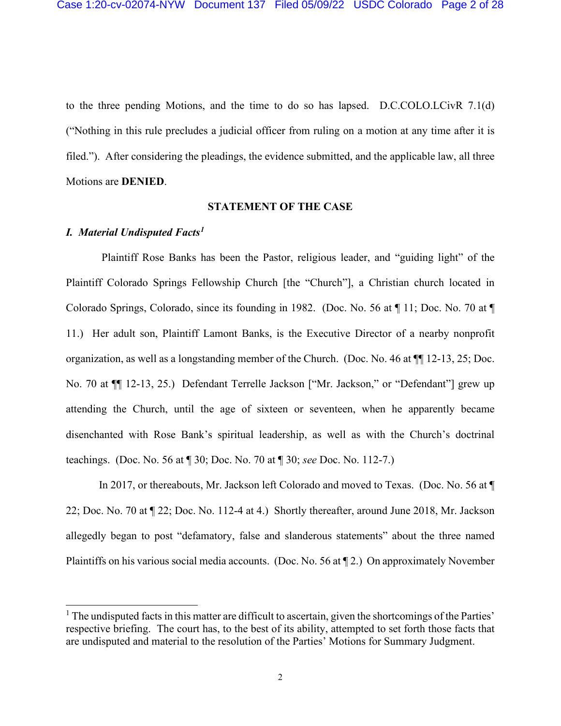to the three pending Motions, and the time to do so has lapsed. D.C.COLO.LCivR 7.1(d) ("Nothing in this rule precludes a judicial officer from ruling on a motion at any time after it is filed."). After considering the pleadings, the evidence submitted, and the applicable law, all three Motions are **DENIED**.

# **STATEMENT OF THE CASE**

### *I. Material Undisputed Facts1*

Plaintiff Rose Banks has been the Pastor, religious leader, and "guiding light" of the Plaintiff Colorado Springs Fellowship Church [the "Church"], a Christian church located in Colorado Springs, Colorado, since its founding in 1982. (Doc. No. 56 at ¶ 11; Doc. No. 70 at ¶ 11.) Her adult son, Plaintiff Lamont Banks, is the Executive Director of a nearby nonprofit organization, as well as a longstanding member of the Church. (Doc. No. 46 at ¶¶ 12-13, 25; Doc. No. 70 at ¶¶ 12-13, 25.) Defendant Terrelle Jackson ["Mr. Jackson," or "Defendant"] grew up attending the Church, until the age of sixteen or seventeen, when he apparently became disenchanted with Rose Bank's spiritual leadership, as well as with the Church's doctrinal teachings. (Doc. No. 56 at ¶ 30; Doc. No. 70 at ¶ 30; *see* Doc. No. 112-7.)

In 2017, or thereabouts, Mr. Jackson left Colorado and moved to Texas. (Doc. No. 56 at ¶ 22; Doc. No. 70 at ¶ 22; Doc. No. 112-4 at 4.) Shortly thereafter, around June 2018, Mr. Jackson allegedly began to post "defamatory, false and slanderous statements" about the three named Plaintiffs on his various social media accounts. (Doc. No. 56 at ¶ 2.) On approximately November

 $<sup>1</sup>$  The undisputed facts in this matter are difficult to ascertain, given the shortcomings of the Parties'</sup> respective briefing. The court has, to the best of its ability, attempted to set forth those facts that are undisputed and material to the resolution of the Parties' Motions for Summary Judgment.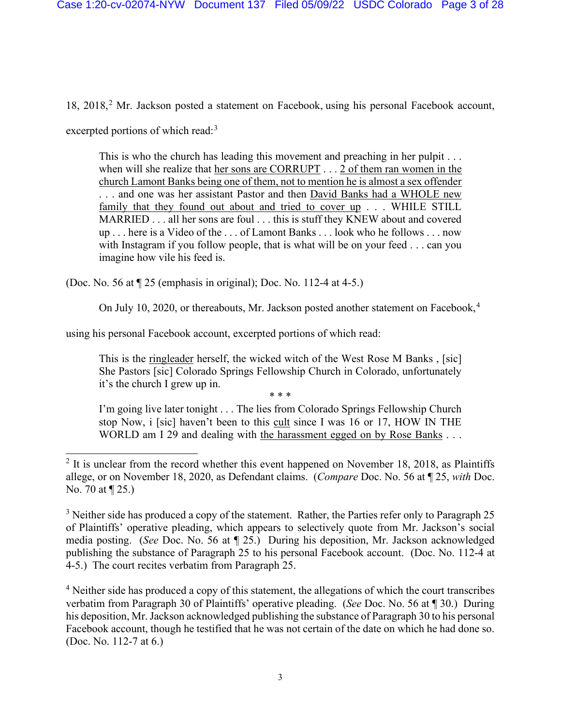18, 2018,<sup>2</sup> Mr. Jackson posted a statement on Facebook, using his personal Facebook account, excerpted portions of which read:<sup>3</sup>

This is who the church has leading this movement and preaching in her pulpit . . . when will she realize that her sons are CORRUPT . . . 2 of them ran women in the church Lamont Banks being one of them, not to mention he is almost a sex offender . . . and one was her assistant Pastor and then David Banks had a WHOLE new family that they found out about and tried to cover up . . . WHILE STILL MARRIED . . . all her sons are foul . . . this is stuff they KNEW about and covered up . . . here is a Video of the . . . of Lamont Banks . . . look who he follows . . . now with Instagram if you follow people, that is what will be on your feed . . . can you imagine how vile his feed is.

(Doc. No. 56 at ¶ 25 (emphasis in original); Doc. No. 112-4 at 4-5.)

On July 10, 2020, or thereabouts, Mr. Jackson posted another statement on Facebook.<sup>4</sup>

using his personal Facebook account, excerpted portions of which read:

This is the ringleader herself, the wicked witch of the West Rose M Banks , [sic] She Pastors [sic] Colorado Springs Fellowship Church in Colorado, unfortunately it's the church I grew up in.

\* \* \*

I'm going live later tonight . . . The lies from Colorado Springs Fellowship Church stop Now, i [sic] haven't been to this cult since I was 16 or 17, HOW IN THE WORLD am I 29 and dealing with the harassment egged on by Rose Banks . . .

 $3$  Neither side has produced a copy of the statement. Rather, the Parties refer only to Paragraph 25 of Plaintiffs' operative pleading, which appears to selectively quote from Mr. Jackson's social media posting. (*See* Doc. No. 56 at ¶ 25.) During his deposition, Mr. Jackson acknowledged publishing the substance of Paragraph 25 to his personal Facebook account. (Doc. No. 112-4 at 4-5.) The court recites verbatim from Paragraph 25.

<sup>4</sup> Neither side has produced a copy of this statement, the allegations of which the court transcribes verbatim from Paragraph 30 of Plaintiffs' operative pleading. (*See* Doc. No. 56 at ¶ 30.) During his deposition, Mr. Jackson acknowledged publishing the substance of Paragraph 30 to his personal Facebook account, though he testified that he was not certain of the date on which he had done so. (Doc. No. 112-7 at 6.)

 $2$  It is unclear from the record whether this event happened on November 18, 2018, as Plaintiffs allege, or on November 18, 2020, as Defendant claims. (*Compare* Doc. No. 56 at ¶ 25, *with* Doc. No. 70 at ¶ 25.)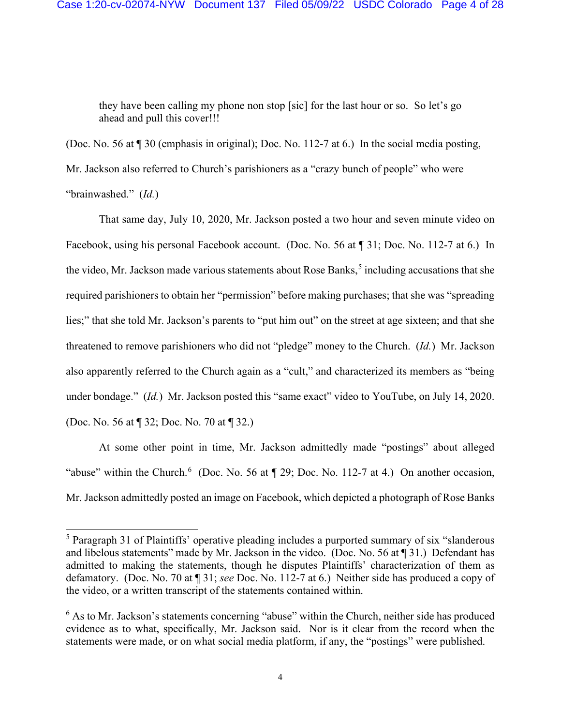they have been calling my phone non stop [sic] for the last hour or so. So let's go ahead and pull this cover!!!

(Doc. No. 56 at ¶ 30 (emphasis in original); Doc. No. 112-7 at 6.) In the social media posting, Mr. Jackson also referred to Church's parishioners as a "crazy bunch of people" who were "brainwashed." (*Id.*)

That same day, July 10, 2020, Mr. Jackson posted a two hour and seven minute video on Facebook, using his personal Facebook account. (Doc. No. 56 at ¶ 31; Doc. No. 112-7 at 6.) In the video, Mr. Jackson made various statements about Rose Banks, <sup>5</sup> including accusations that she required parishioners to obtain her "permission" before making purchases; that she was "spreading lies;" that she told Mr. Jackson's parents to "put him out" on the street at age sixteen; and that she threatened to remove parishioners who did not "pledge" money to the Church. (*Id.*) Mr. Jackson also apparently referred to the Church again as a "cult," and characterized its members as "being under bondage." (*Id.*) Mr. Jackson posted this "same exact" video to YouTube, on July 14, 2020. (Doc. No. 56 at ¶ 32; Doc. No. 70 at ¶ 32.)

At some other point in time, Mr. Jackson admittedly made "postings" about alleged "abuse" within the Church.<sup>6</sup> (Doc. No. 56 at  $\P$  29; Doc. No. 112-7 at 4.) On another occasion, Mr. Jackson admittedly posted an image on Facebook, which depicted a photograph of Rose Banks

<sup>&</sup>lt;sup>5</sup> Paragraph 31 of Plaintiffs' operative pleading includes a purported summary of six "slanderous" and libelous statements" made by Mr. Jackson in the video. (Doc. No. 56 at ¶ 31.) Defendant has admitted to making the statements, though he disputes Plaintiffs' characterization of them as defamatory. (Doc. No. 70 at ¶ 31; *see* Doc. No. 112-7 at 6.) Neither side has produced a copy of the video, or a written transcript of the statements contained within.

 $6$  As to Mr. Jackson's statements concerning "abuse" within the Church, neither side has produced evidence as to what, specifically, Mr. Jackson said. Nor is it clear from the record when the statements were made, or on what social media platform, if any, the "postings" were published.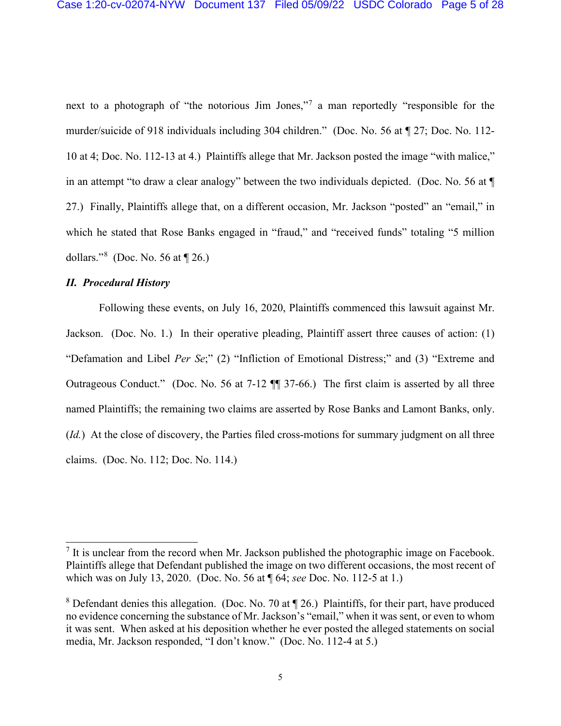next to a photograph of "the notorious Jim Jones,"<sup>7</sup> a man reportedly "responsible for the murder/suicide of 918 individuals including 304 children." (Doc. No. 56 at ¶ 27; Doc. No. 112- 10 at 4; Doc. No. 112-13 at 4.) Plaintiffs allege that Mr. Jackson posted the image "with malice," in an attempt "to draw a clear analogy" between the two individuals depicted. (Doc. No. 56 at ¶ 27.) Finally, Plaintiffs allege that, on a different occasion, Mr. Jackson "posted" an "email," in which he stated that Rose Banks engaged in "fraud," and "received funds" totaling "5 million dollars."<sup>8</sup> (Doc. No. 56 at  $\llbracket 26$ .)

# *II. Procedural History*

Following these events, on July 16, 2020, Plaintiffs commenced this lawsuit against Mr. Jackson. (Doc. No. 1.) In their operative pleading, Plaintiff assert three causes of action: (1) "Defamation and Libel *Per Se*;" (2) "Infliction of Emotional Distress;" and (3) "Extreme and Outrageous Conduct." (Doc. No. 56 at 7-12 ¶¶ 37-66.) The first claim is asserted by all three named Plaintiffs; the remaining two claims are asserted by Rose Banks and Lamont Banks, only. (*Id.*) At the close of discovery, the Parties filed cross-motions for summary judgment on all three claims. (Doc. No. 112; Doc. No. 114.)

 $<sup>7</sup>$  It is unclear from the record when Mr. Jackson published the photographic image on Facebook.</sup> Plaintiffs allege that Defendant published the image on two different occasions, the most recent of which was on July 13, 2020. (Doc. No. 56 at ¶ 64; *see* Doc. No. 112-5 at 1.)

<sup>&</sup>lt;sup>8</sup> Defendant denies this allegation. (Doc. No. 70 at  $\P$  26.) Plaintiffs, for their part, have produced no evidence concerning the substance of Mr. Jackson's "email," when it was sent, or even to whom it was sent. When asked at his deposition whether he ever posted the alleged statements on social media, Mr. Jackson responded, "I don't know." (Doc. No. 112-4 at 5.)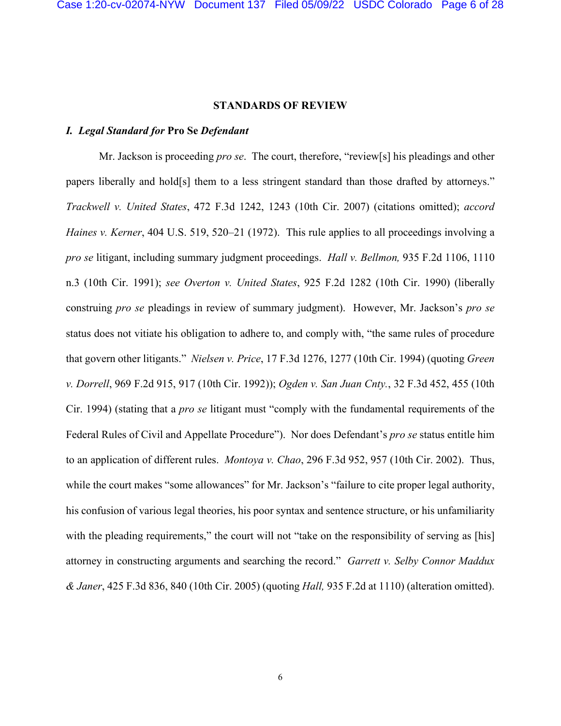#### **STANDARDS OF REVIEW**

# *I. Legal Standard for* **Pro Se** *Defendant*

Mr. Jackson is proceeding *pro se*. The court, therefore, "review[s] his pleadings and other papers liberally and hold[s] them to a less stringent standard than those drafted by attorneys." *Trackwell v. United States*, 472 F.3d 1242, 1243 (10th Cir. 2007) (citations omitted); *accord Haines v. Kerner*, 404 U.S. 519, 520–21 (1972). This rule applies to all proceedings involving a *pro se* litigant, including summary judgment proceedings. *Hall v. Bellmon,* 935 F.2d 1106, 1110 n.3 (10th Cir. 1991); *see Overton v. United States*, 925 F.2d 1282 (10th Cir. 1990) (liberally construing *pro se* pleadings in review of summary judgment). However, Mr. Jackson's *pro se*  status does not vitiate his obligation to adhere to, and comply with, "the same rules of procedure that govern other litigants." *Nielsen v. Price*, 17 F.3d 1276, 1277 (10th Cir. 1994) (quoting *Green v. Dorrell*, 969 F.2d 915, 917 (10th Cir. 1992)); *Ogden v. San Juan Cnty.*, 32 F.3d 452, 455 (10th Cir. 1994) (stating that a *pro se* litigant must "comply with the fundamental requirements of the Federal Rules of Civil and Appellate Procedure"). Nor does Defendant's *pro se* status entitle him to an application of different rules. *Montoya v. Chao*, 296 F.3d 952, 957 (10th Cir. 2002). Thus, while the court makes "some allowances" for Mr. Jackson's "failure to cite proper legal authority, his confusion of various legal theories, his poor syntax and sentence structure, or his unfamiliarity with the pleading requirements," the court will not "take on the responsibility of serving as [his] attorney in constructing arguments and searching the record." *Garrett v. Selby Connor Maddux & Janer*, 425 F.3d 836, 840 (10th Cir. 2005) (quoting *Hall,* 935 F.2d at 1110) (alteration omitted).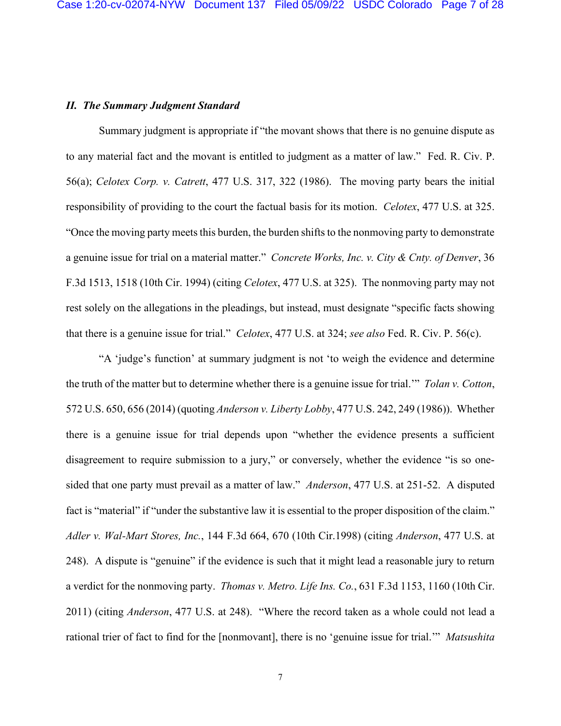# *II. The Summary Judgment Standard*

Summary judgment is appropriate if "the movant shows that there is no genuine dispute as to any material fact and the movant is entitled to judgment as a matter of law." Fed. R. Civ. P. 56(a); *Celotex Corp. v. Catrett*, 477 U.S. 317, 322 (1986). The moving party bears the initial responsibility of providing to the court the factual basis for its motion. *Celotex*, 477 U.S. at 325. "Once the moving party meets this burden, the burden shifts to the nonmoving party to demonstrate a genuine issue for trial on a material matter." *Concrete Works, Inc. v. City & Cnty. of Denver*, 36 F.3d 1513, 1518 (10th Cir. 1994) (citing *Celotex*, 477 U.S. at 325). The nonmoving party may not rest solely on the allegations in the pleadings, but instead, must designate "specific facts showing that there is a genuine issue for trial." *Celotex*, 477 U.S. at 324; *see also* Fed. R. Civ. P. 56(c).

"A 'judge's function' at summary judgment is not 'to weigh the evidence and determine the truth of the matter but to determine whether there is a genuine issue for trial.'" *Tolan v. Cotton*, 572 U.S. 650, 656 (2014) (quoting *Anderson v. Liberty Lobby*, 477 U.S. 242, 249 (1986)). Whether there is a genuine issue for trial depends upon "whether the evidence presents a sufficient disagreement to require submission to a jury," or conversely, whether the evidence "is so onesided that one party must prevail as a matter of law." *Anderson*, 477 U.S. at 251-52. A disputed fact is "material" if "under the substantive law it is essential to the proper disposition of the claim." *Adler v. Wal-Mart Stores, Inc.*, 144 F.3d 664, 670 (10th Cir.1998) (citing *Anderson*, 477 U.S. at 248). A dispute is "genuine" if the evidence is such that it might lead a reasonable jury to return a verdict for the nonmoving party. *Thomas v. Metro. Life Ins. Co.*, 631 F.3d 1153, 1160 (10th Cir. 2011) (citing *Anderson*, 477 U.S. at 248). "Where the record taken as a whole could not lead a rational trier of fact to find for the [nonmovant], there is no 'genuine issue for trial.'" *Matsushita*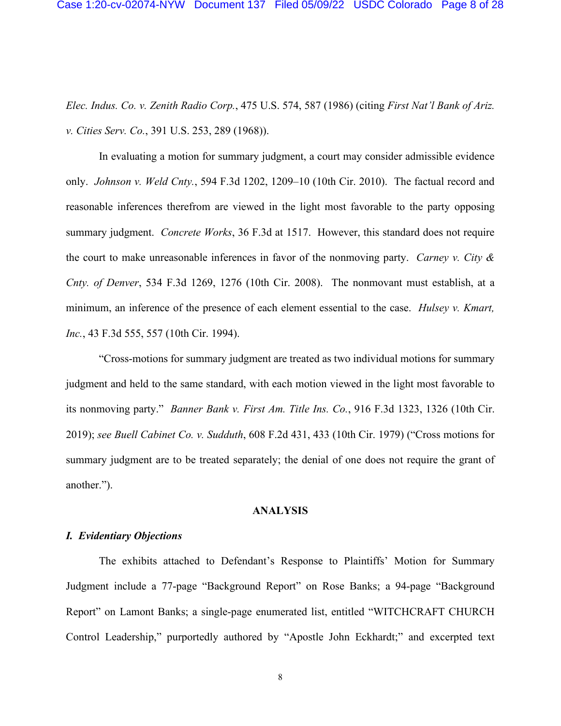*Elec. Indus. Co. v. Zenith Radio Corp.*, 475 U.S. 574, 587 (1986) (citing *First Nat'l Bank of Ariz. v. Cities Serv. Co.*, 391 U.S. 253, 289 (1968)).

In evaluating a motion for summary judgment, a court may consider admissible evidence only. *Johnson v. Weld Cnty.*, 594 F.3d 1202, 1209–10 (10th Cir. 2010). The factual record and reasonable inferences therefrom are viewed in the light most favorable to the party opposing summary judgment. *Concrete Works*, 36 F.3d at 1517. However, this standard does not require the court to make unreasonable inferences in favor of the nonmoving party. *Carney v. City & Cnty. of Denver*, 534 F.3d 1269, 1276 (10th Cir. 2008). The nonmovant must establish, at a minimum, an inference of the presence of each element essential to the case. *Hulsey v. Kmart, Inc.*, 43 F.3d 555, 557 (10th Cir. 1994).

"Cross-motions for summary judgment are treated as two individual motions for summary judgment and held to the same standard, with each motion viewed in the light most favorable to its nonmoving party." *Banner Bank v. First Am. Title Ins. Co.*, 916 F.3d 1323, 1326 (10th Cir. 2019); *see Buell Cabinet Co. v. Sudduth*, 608 F.2d 431, 433 (10th Cir. 1979) ("Cross motions for summary judgment are to be treated separately; the denial of one does not require the grant of another.").

### **ANALYSIS**

### *I. Evidentiary Objections*

The exhibits attached to Defendant's Response to Plaintiffs' Motion for Summary Judgment include a 77-page "Background Report" on Rose Banks; a 94-page "Background Report" on Lamont Banks; a single-page enumerated list, entitled "WITCHCRAFT CHURCH Control Leadership," purportedly authored by "Apostle John Eckhardt;" and excerpted text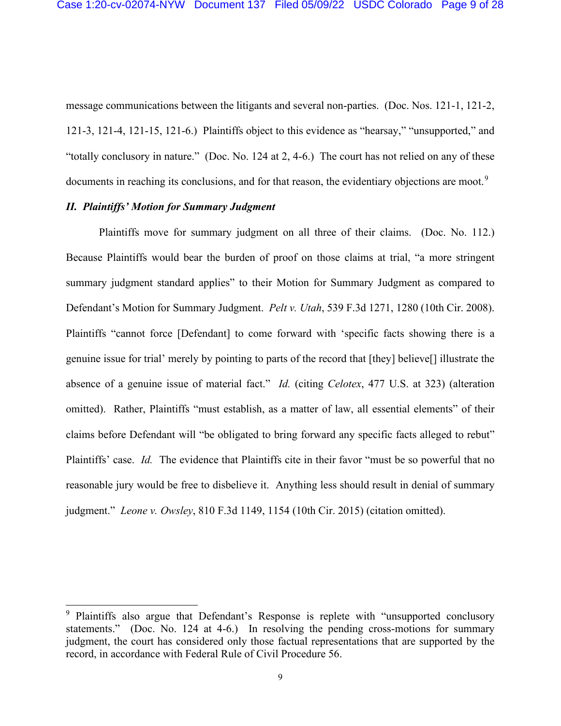message communications between the litigants and several non-parties. (Doc. Nos. 121-1, 121-2, 121-3, 121-4, 121-15, 121-6.) Plaintiffs object to this evidence as "hearsay," "unsupported," and "totally conclusory in nature." (Doc. No. 124 at 2, 4-6.) The court has not relied on any of these documents in reaching its conclusions, and for that reason, the evidentiary objections are moot.<sup>9</sup>

# *II. Plaintiffs' Motion for Summary Judgment*

Plaintiffs move for summary judgment on all three of their claims. (Doc. No. 112.) Because Plaintiffs would bear the burden of proof on those claims at trial, "a more stringent summary judgment standard applies" to their Motion for Summary Judgment as compared to Defendant's Motion for Summary Judgment. *Pelt v. Utah*, 539 F.3d 1271, 1280 (10th Cir. 2008). Plaintiffs "cannot force [Defendant] to come forward with 'specific facts showing there is a genuine issue for trial' merely by pointing to parts of the record that [they] believe[] illustrate the absence of a genuine issue of material fact." *Id.* (citing *Celotex*, 477 U.S. at 323) (alteration omitted).Rather, Plaintiffs "must establish, as a matter of law, all essential elements" of their claims before Defendant will "be obligated to bring forward any specific facts alleged to rebut" Plaintiffs' case. *Id.* The evidence that Plaintiffs cite in their favor "must be so powerful that no reasonable jury would be free to disbelieve it. Anything less should result in denial of summary judgment." *Leone v. Owsley*, 810 F.3d 1149, 1154 (10th Cir. 2015) (citation omitted).

<sup>&</sup>lt;sup>9</sup> Plaintiffs also argue that Defendant's Response is replete with "unsupported conclusory" statements." (Doc. No. 124 at 4-6.) In resolving the pending cross-motions for summary judgment, the court has considered only those factual representations that are supported by the record, in accordance with Federal Rule of Civil Procedure 56.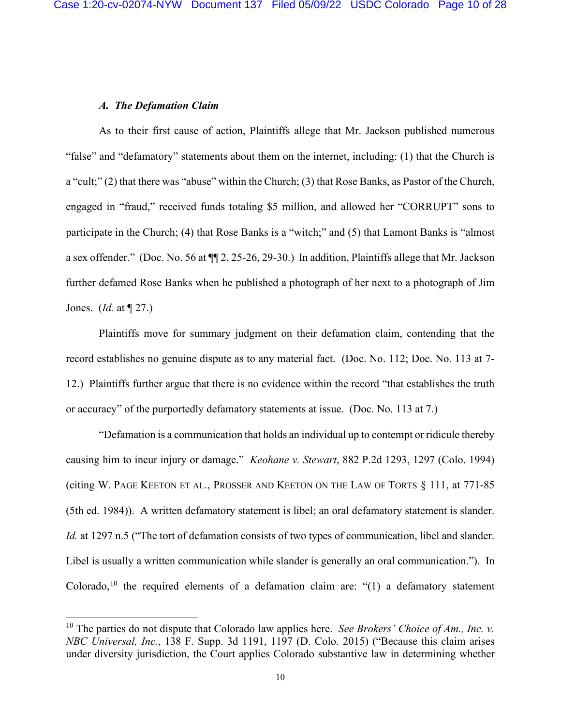#### *A. The Defamation Claim*

As to their first cause of action, Plaintiffs allege that Mr. Jackson published numerous "false" and "defamatory" statements about them on the internet, including: (1) that the Church is a "cult;" (2) that there was "abuse" within the Church; (3) that Rose Banks, as Pastor of the Church, engaged in "fraud," received funds totaling \$5 million, and allowed her "CORRUPT" sons to participate in the Church; (4) that Rose Banks is a "witch;" and (5) that Lamont Banks is "almost a sex offender." (Doc. No. 56 at ¶¶ 2, 25-26, 29-30.) In addition, Plaintiffs allege that Mr. Jackson further defamed Rose Banks when he published a photograph of her next to a photograph of Jim Jones. (*Id.* at ¶ 27.)

Plaintiffs move for summary judgment on their defamation claim, contending that the record establishes no genuine dispute as to any material fact. (Doc. No. 112; Doc. No. 113 at 7- 12.) Plaintiffs further argue that there is no evidence within the record "that establishes the truth or accuracy" of the purportedly defamatory statements at issue. (Doc. No. 113 at 7.)

"Defamation is a communication that holds an individual up to contempt or ridicule thereby causing him to incur injury or damage." *Keohane v. Stewart*, 882 P.2d 1293, 1297 (Colo. 1994) (citing W. PAGE KEETON ET AL., PROSSER AND KEETON ON THE LAW OF TORTS § 111, at 771-85 (5th ed. 1984)). A written defamatory statement is libel; an oral defamatory statement is slander. *Id.* at 1297 n.5 ("The tort of defamation consists of two types of communication, libel and slander. Libel is usually a written communication while slander is generally an oral communication."). In Colorado,<sup>10</sup> the required elements of a defamation claim are: " $(1)$  a defamatory statement

<sup>&</sup>lt;sup>10</sup> The parties do not dispute that Colorado law applies here. *See Brokers' Choice of Am., Inc. v. NBC Universal, Inc.*, 138 F. Supp. 3d 1191, 1197 (D. Colo. 2015) ("Because this claim arises under diversity jurisdiction, the Court applies Colorado substantive law in determining whether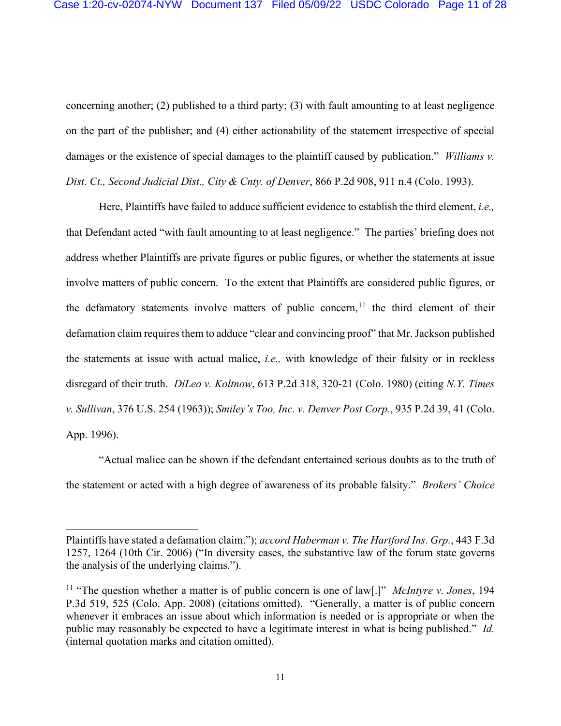concerning another; (2) published to a third party; (3) with fault amounting to at least negligence on the part of the publisher; and (4) either actionability of the statement irrespective of special damages or the existence of special damages to the plaintiff caused by publication." *Williams v. Dist. Ct., Second Judicial Dist., City & Cnty. of Denver*, 866 P.2d 908, 911 n.4 (Colo. 1993).

Here, Plaintiffs have failed to adduce sufficient evidence to establish the third element, *i.e.,*  that Defendant acted "with fault amounting to at least negligence." The parties' briefing does not address whether Plaintiffs are private figures or public figures, or whether the statements at issue involve matters of public concern. To the extent that Plaintiffs are considered public figures, or the defamatory statements involve matters of public concern,  $\frac{1}{1}$  the third element of their defamation claim requires them to adduce "clear and convincing proof" that Mr. Jackson published the statements at issue with actual malice, *i.e.,* with knowledge of their falsity or in reckless disregard of their truth. *DiLeo v. Koltnow*, 613 P.2d 318, 320-21 (Colo. 1980) (citing *N.Y. Times v. Sullivan*, 376 U.S. 254 (1963)); *Smiley's Too, Inc. v. Denver Post Corp.*, 935 P.2d 39, 41 (Colo. App. 1996).

"Actual malice can be shown if the defendant entertained serious doubts as to the truth of the statement or acted with a high degree of awareness of its probable falsity." *Brokers' Choice* 

Plaintiffs have stated a defamation claim."); *accord Haberman v. The Hartford Ins. Grp.*, 443 F.3d 1257, 1264 (10th Cir. 2006) ("In diversity cases, the substantive law of the forum state governs the analysis of the underlying claims.").

<sup>11</sup> "The question whether a matter is of public concern is one of law[.]" *McIntyre v. Jones*, 194 P.3d 519, 525 (Colo. App. 2008) (citations omitted). "Generally, a matter is of public concern whenever it embraces an issue about which information is needed or is appropriate or when the public may reasonably be expected to have a legitimate interest in what is being published." *Id.*  (internal quotation marks and citation omitted).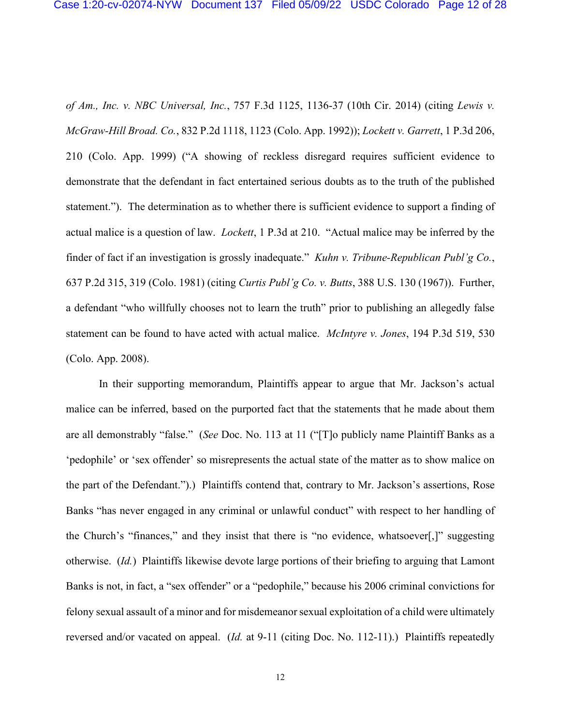*of Am., Inc. v. NBC Universal, Inc.*, 757 F.3d 1125, 1136-37 (10th Cir. 2014) (citing *Lewis v. McGraw-Hill Broad. Co.*, 832 P.2d 1118, 1123 (Colo. App. 1992)); *Lockett v. Garrett*, 1 P.3d 206, 210 (Colo. App. 1999) ("A showing of reckless disregard requires sufficient evidence to demonstrate that the defendant in fact entertained serious doubts as to the truth of the published statement."). The determination as to whether there is sufficient evidence to support a finding of actual malice is a question of law. *Lockett*, 1 P.3d at 210. "Actual malice may be inferred by the finder of fact if an investigation is grossly inadequate." *Kuhn v. Tribune-Republican Publ'g Co.*, 637 P.2d 315, 319 (Colo. 1981) (citing *Curtis Publ'g Co. v. Butts*, 388 U.S. 130 (1967)).Further, a defendant "who willfully chooses not to learn the truth" prior to publishing an allegedly false statement can be found to have acted with actual malice. *McIntyre v. Jones*, 194 P.3d 519, 530 (Colo. App. 2008).

In their supporting memorandum, Plaintiffs appear to argue that Mr. Jackson's actual malice can be inferred, based on the purported fact that the statements that he made about them are all demonstrably "false." (*See* Doc. No. 113 at 11 ("[T]o publicly name Plaintiff Banks as a 'pedophile' or 'sex offender' so misrepresents the actual state of the matter as to show malice on the part of the Defendant.").) Plaintiffs contend that, contrary to Mr. Jackson's assertions, Rose Banks "has never engaged in any criminal or unlawful conduct" with respect to her handling of the Church's "finances," and they insist that there is "no evidence, whatsoever[,]" suggesting otherwise. (*Id.*) Plaintiffs likewise devote large portions of their briefing to arguing that Lamont Banks is not, in fact, a "sex offender" or a "pedophile," because his 2006 criminal convictions for felony sexual assault of a minor and for misdemeanor sexual exploitation of a child were ultimately reversed and/or vacated on appeal. (*Id.* at 9-11 (citing Doc. No. 112-11).) Plaintiffs repeatedly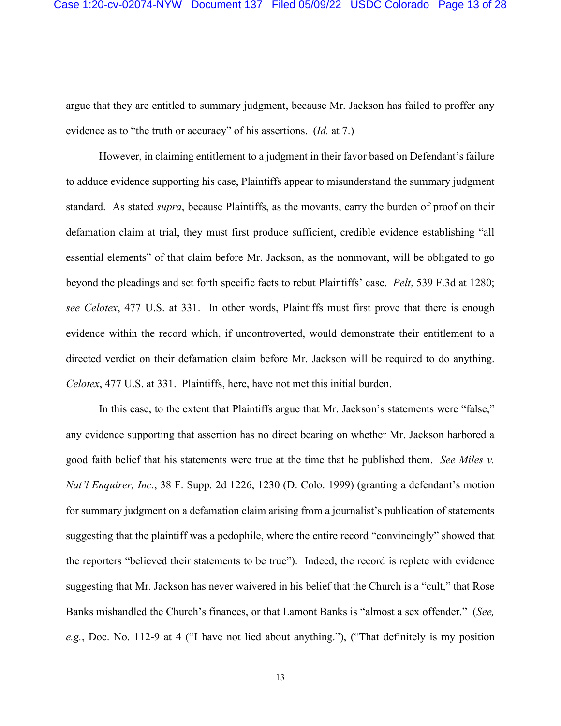argue that they are entitled to summary judgment, because Mr. Jackson has failed to proffer any evidence as to "the truth or accuracy" of his assertions. (*Id.* at 7.)

However, in claiming entitlement to a judgment in their favor based on Defendant's failure to adduce evidence supporting his case, Plaintiffs appear to misunderstand the summary judgment standard. As stated *supra*, because Plaintiffs, as the movants, carry the burden of proof on their defamation claim at trial, they must first produce sufficient, credible evidence establishing "all essential elements" of that claim before Mr. Jackson, as the nonmovant, will be obligated to go beyond the pleadings and set forth specific facts to rebut Plaintiffs' case. *Pelt*, 539 F.3d at 1280; *see Celotex*, 477 U.S. at 331. In other words, Plaintiffs must first prove that there is enough evidence within the record which, if uncontroverted, would demonstrate their entitlement to a directed verdict on their defamation claim before Mr. Jackson will be required to do anything. *Celotex*, 477 U.S. at 331. Plaintiffs, here, have not met this initial burden.

In this case, to the extent that Plaintiffs argue that Mr. Jackson's statements were "false," any evidence supporting that assertion has no direct bearing on whether Mr. Jackson harbored a good faith belief that his statements were true at the time that he published them. *See Miles v. Nat'l Enquirer, Inc.*, 38 F. Supp. 2d 1226, 1230 (D. Colo. 1999) (granting a defendant's motion for summary judgment on a defamation claim arising from a journalist's publication of statements suggesting that the plaintiff was a pedophile, where the entire record "convincingly" showed that the reporters "believed their statements to be true"). Indeed, the record is replete with evidence suggesting that Mr. Jackson has never waivered in his belief that the Church is a "cult," that Rose Banks mishandled the Church's finances, or that Lamont Banks is "almost a sex offender." (*See, e.g.*, Doc. No. 112-9 at 4 ("I have not lied about anything."), ("That definitely is my position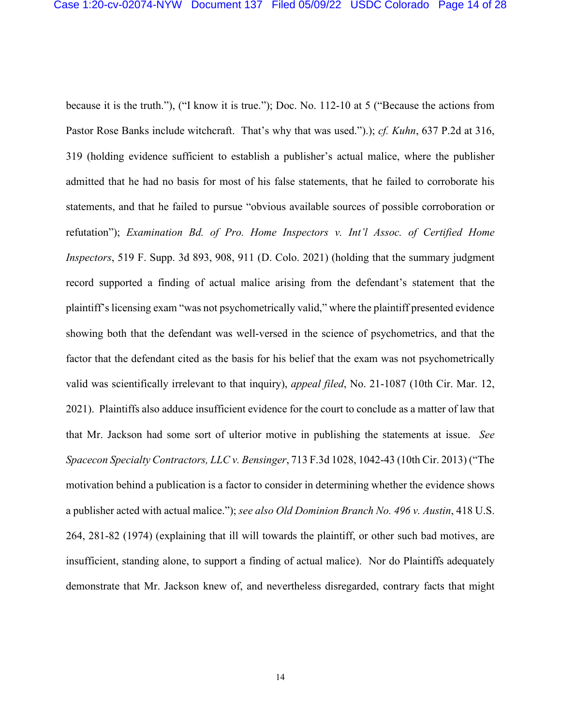because it is the truth."), ("I know it is true."); Doc. No. 112-10 at 5 ("Because the actions from Pastor Rose Banks include witchcraft. That's why that was used.").); *cf. Kuhn*, 637 P.2d at 316, 319 (holding evidence sufficient to establish a publisher's actual malice, where the publisher admitted that he had no basis for most of his false statements, that he failed to corroborate his statements, and that he failed to pursue "obvious available sources of possible corroboration or refutation"); *Examination Bd. of Pro. Home Inspectors v. Int'l Assoc. of Certified Home Inspectors*, 519 F. Supp. 3d 893, 908, 911 (D. Colo. 2021) (holding that the summary judgment record supported a finding of actual malice arising from the defendant's statement that the plaintiff's licensing exam "was not psychometrically valid," where the plaintiff presented evidence showing both that the defendant was well-versed in the science of psychometrics, and that the factor that the defendant cited as the basis for his belief that the exam was not psychometrically valid was scientifically irrelevant to that inquiry), *appeal filed*, No. 21-1087 (10th Cir. Mar. 12, 2021). Plaintiffs also adduce insufficient evidence for the court to conclude as a matter of law that that Mr. Jackson had some sort of ulterior motive in publishing the statements at issue. *See Spacecon Specialty Contractors, LLC v. Bensinger*, 713 F.3d 1028, 1042-43 (10th Cir. 2013) ("The motivation behind a publication is a factor to consider in determining whether the evidence shows a publisher acted with actual malice."); *see also Old Dominion Branch No. 496 v. Austin*, 418 U.S. 264, 281-82 (1974) (explaining that ill will towards the plaintiff, or other such bad motives, are insufficient, standing alone, to support a finding of actual malice). Nor do Plaintiffs adequately demonstrate that Mr. Jackson knew of, and nevertheless disregarded, contrary facts that might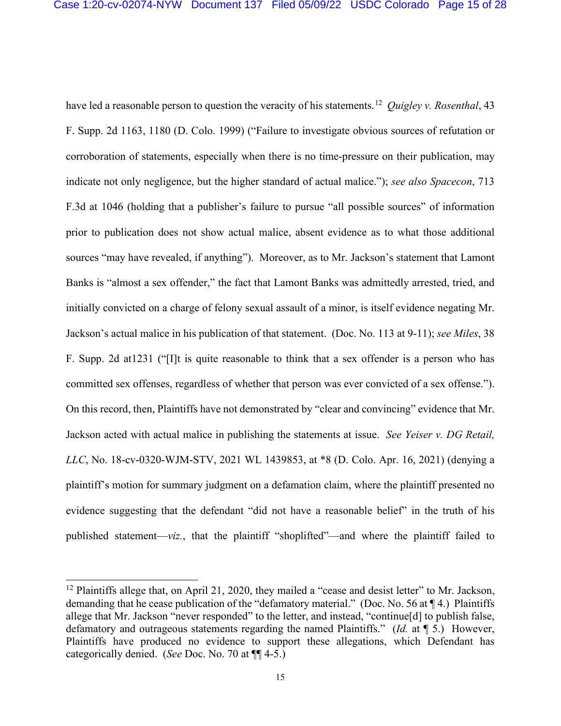have led a reasonable person to question the veracity of his statements.12 *Quigley v. Rosenthal*, 43 F. Supp. 2d 1163, 1180 (D. Colo. 1999) ("Failure to investigate obvious sources of refutation or corroboration of statements, especially when there is no time-pressure on their publication, may indicate not only negligence, but the higher standard of actual malice."); *see also Spacecon*, 713 F.3d at 1046 (holding that a publisher's failure to pursue "all possible sources" of information prior to publication does not show actual malice, absent evidence as to what those additional sources "may have revealed, if anything"). Moreover, as to Mr. Jackson's statement that Lamont Banks is "almost a sex offender," the fact that Lamont Banks was admittedly arrested, tried, and initially convicted on a charge of felony sexual assault of a minor, is itself evidence negating Mr. Jackson's actual malice in his publication of that statement. (Doc. No. 113 at 9-11); *see Miles*, 38 F. Supp. 2d at1231 ("[I]t is quite reasonable to think that a sex offender is a person who has committed sex offenses, regardless of whether that person was ever convicted of a sex offense."). On this record, then, Plaintiffs have not demonstrated by "clear and convincing" evidence that Mr. Jackson acted with actual malice in publishing the statements at issue. *See Yeiser v. DG Retail, LLC*, No. 18-cv-0320-WJM-STV, 2021 WL 1439853, at \*8 (D. Colo. Apr. 16, 2021) (denying a plaintiff's motion for summary judgment on a defamation claim, where the plaintiff presented no evidence suggesting that the defendant "did not have a reasonable belief" in the truth of his published statement—*viz.*, that the plaintiff "shoplifted"—and where the plaintiff failed to

<sup>&</sup>lt;sup>12</sup> Plaintiffs allege that, on April 21, 2020, they mailed a "cease and desist letter" to Mr. Jackson, demanding that he cease publication of the "defamatory material." (Doc. No. 56 at ¶ 4.) Plaintiffs allege that Mr. Jackson "never responded" to the letter, and instead, "continue[d] to publish false, defamatory and outrageous statements regarding the named Plaintiffs." (*Id.* at ¶ 5.) However, Plaintiffs have produced no evidence to support these allegations, which Defendant has categorically denied. (*See* Doc. No. 70 at ¶¶ 4-5.)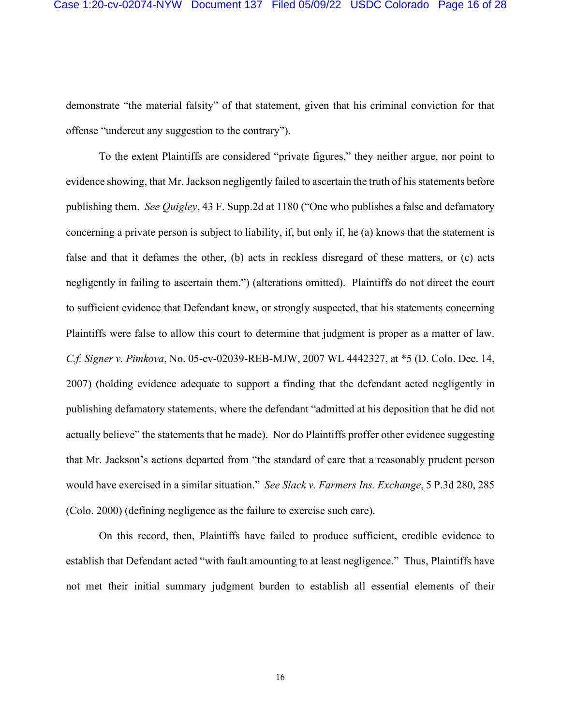demonstrate "the material falsity" of that statement, given that his criminal conviction for that offense "undercut any suggestion to the contrary").

To the extent Plaintiffs are considered "private figures," they neither argue, nor point to evidence showing, that Mr. Jackson negligently failed to ascertain the truth of his statements before publishing them. *See Quigley*, 43 F. Supp.2d at 1180 ("One who publishes a false and defamatory concerning a private person is subject to liability, if, but only if, he (a) knows that the statement is false and that it defames the other, (b) acts in reckless disregard of these matters, or (c) acts negligently in failing to ascertain them.") (alterations omitted). Plaintiffs do not direct the court to sufficient evidence that Defendant knew, or strongly suspected, that his statements concerning Plaintiffs were false to allow this court to determine that judgment is proper as a matter of law. *C.f. Signer v. Pimkova*, No. 05-cv-02039-REB-MJW, 2007 WL 4442327, at \*5 (D. Colo. Dec. 14, 2007) (holding evidence adequate to support a finding that the defendant acted negligently in publishing defamatory statements, where the defendant "admitted at his deposition that he did not actually believe" the statements that he made). Nor do Plaintiffs proffer other evidence suggesting that Mr. Jackson's actions departed from "the standard of care that a reasonably prudent person would have exercised in a similar situation." *See Slack v. Farmers Ins. Exchange*, 5 P.3d 280, 285 (Colo. 2000) (defining negligence as the failure to exercise such care).

On this record, then, Plaintiffs have failed to produce sufficient, credible evidence to establish that Defendant acted "with fault amounting to at least negligence." Thus, Plaintiffs have not met their initial summary judgment burden to establish all essential elements of their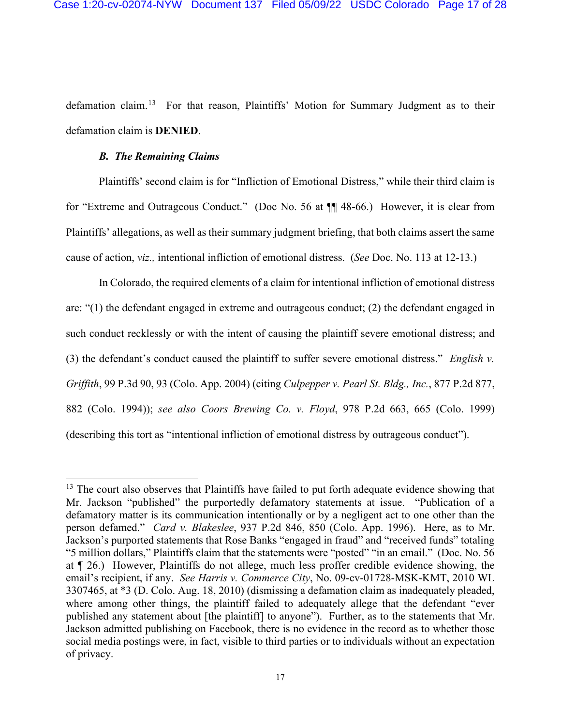defamation claim.<sup>13</sup> For that reason, Plaintiffs' Motion for Summary Judgment as to their defamation claim is **DENIED**.

# *B. The Remaining Claims*

Plaintiffs' second claim is for "Infliction of Emotional Distress," while their third claim is for "Extreme and Outrageous Conduct." (Doc No. 56 at ¶¶ 48-66.) However, it is clear from Plaintiffs' allegations, as well as their summary judgment briefing, that both claims assert the same cause of action, *viz.,* intentional infliction of emotional distress. (*See* Doc. No. 113 at 12-13.)

In Colorado, the required elements of a claim for intentional infliction of emotional distress are: "(1) the defendant engaged in extreme and outrageous conduct; (2) the defendant engaged in such conduct recklessly or with the intent of causing the plaintiff severe emotional distress; and (3) the defendant's conduct caused the plaintiff to suffer severe emotional distress." *English v. Griffith*, 99 P.3d 90, 93 (Colo. App. 2004) (citing *Culpepper v. Pearl St. Bldg., Inc.*, 877 P.2d 877, 882 (Colo. 1994)); *see also Coors Brewing Co. v. Floyd*, 978 P.2d 663, 665 (Colo. 1999) (describing this tort as "intentional infliction of emotional distress by outrageous conduct").

 $13$  The court also observes that Plaintiffs have failed to put forth adequate evidence showing that Mr. Jackson "published" the purportedly defamatory statements at issue. "Publication of a defamatory matter is its communication intentionally or by a negligent act to one other than the person defamed." *Card v. Blakeslee*, 937 P.2d 846, 850 (Colo. App. 1996).Here, as to Mr. Jackson's purported statements that Rose Banks "engaged in fraud" and "received funds" totaling "5 million dollars," Plaintiffs claim that the statements were "posted" "in an email." (Doc. No. 56 at ¶ 26.) However, Plaintiffs do not allege, much less proffer credible evidence showing, the email's recipient, if any. *See Harris v. Commerce City*, No. 09-cv-01728-MSK-KMT, 2010 WL 3307465, at \*3 (D. Colo. Aug. 18, 2010) (dismissing a defamation claim as inadequately pleaded, where among other things, the plaintiff failed to adequately allege that the defendant "ever published any statement about [the plaintiff] to anyone"). Further, as to the statements that Mr. Jackson admitted publishing on Facebook, there is no evidence in the record as to whether those social media postings were, in fact, visible to third parties or to individuals without an expectation of privacy.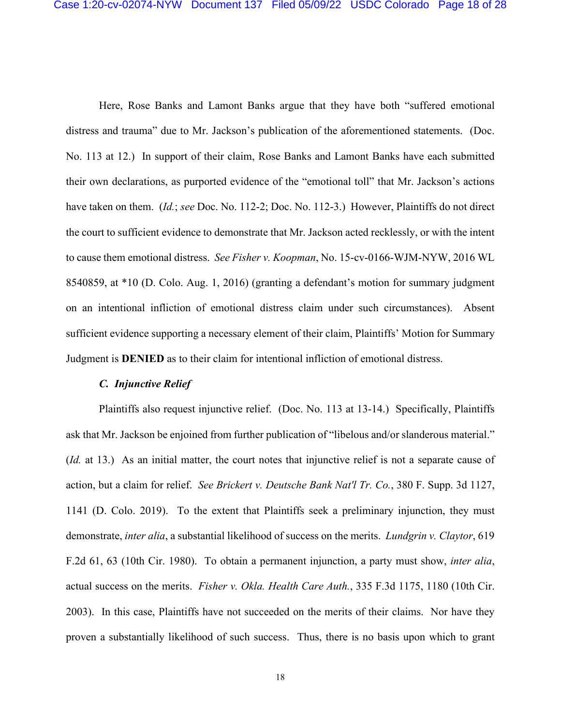Here, Rose Banks and Lamont Banks argue that they have both "suffered emotional distress and trauma" due to Mr. Jackson's publication of the aforementioned statements. (Doc. No. 113 at 12.) In support of their claim, Rose Banks and Lamont Banks have each submitted their own declarations, as purported evidence of the "emotional toll" that Mr. Jackson's actions have taken on them. (*Id.*; *see* Doc. No. 112-2; Doc. No. 112-3.) However, Plaintiffs do not direct the court to sufficient evidence to demonstrate that Mr. Jackson acted recklessly, or with the intent to cause them emotional distress. *See Fisher v. Koopman*, No. 15-cv-0166-WJM-NYW, 2016 WL 8540859, at \*10 (D. Colo. Aug. 1, 2016) (granting a defendant's motion for summary judgment on an intentional infliction of emotional distress claim under such circumstances). Absent sufficient evidence supporting a necessary element of their claim, Plaintiffs' Motion for Summary Judgment is **DENIED** as to their claim for intentional infliction of emotional distress.

# *C. Injunctive Relief*

Plaintiffs also request injunctive relief. (Doc. No. 113 at 13-14.) Specifically, Plaintiffs ask that Mr. Jackson be enjoined from further publication of "libelous and/or slanderous material." (*Id.* at 13.) As an initial matter, the court notes that injunctive relief is not a separate cause of action, but a claim for relief. *See Brickert v. Deutsche Bank Nat'l Tr. Co.*, 380 F. Supp. 3d 1127, 1141 (D. Colo. 2019). To the extent that Plaintiffs seek a preliminary injunction, they must demonstrate, *inter alia*, a substantial likelihood of success on the merits. *Lundgrin v. Claytor*, 619 F.2d 61, 63 (10th Cir. 1980). To obtain a permanent injunction, a party must show, *inter alia*, actual success on the merits. *Fisher v. Okla. Health Care Auth.*, 335 F.3d 1175, 1180 (10th Cir. 2003).In this case, Plaintiffs have not succeeded on the merits of their claims. Nor have they proven a substantially likelihood of such success. Thus, there is no basis upon which to grant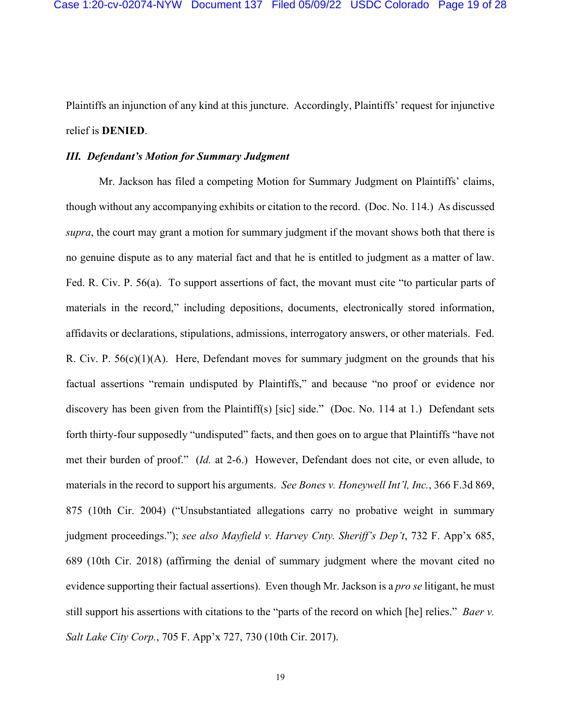Plaintiffs an injunction of any kind at this juncture. Accordingly, Plaintiffs' request for injunctive relief is **DENIED**.

### *III. Defendant's Motion for Summary Judgment*

Mr. Jackson has filed a competing Motion for Summary Judgment on Plaintiffs' claims, though without any accompanying exhibits or citation to the record. (Doc. No. 114.) As discussed *supra*, the court may grant a motion for summary judgment if the movant shows both that there is no genuine dispute as to any material fact and that he is entitled to judgment as a matter of law. Fed. R. Civ. P. 56(a). To support assertions of fact, the movant must cite "to particular parts of materials in the record," including depositions, documents, electronically stored information, affidavits or declarations, stipulations, admissions, interrogatory answers, or other materials. Fed. R. Civ. P.  $56(c)(1)(A)$ . Here, Defendant moves for summary judgment on the grounds that his factual assertions "remain undisputed by Plaintiffs," and because "no proof or evidence nor discovery has been given from the Plaintiff(s) [sic] side." (Doc. No. 114 at 1.) Defendant sets forth thirty-four supposedly "undisputed" facts, and then goes on to argue that Plaintiffs "have not met their burden of proof." (*Id.* at 2-6.) However, Defendant does not cite, or even allude, to materials in the record to support his arguments. *See Bones v. Honeywell Int'l, Inc.*, 366 F.3d 869, 875 (10th Cir. 2004) ("Unsubstantiated allegations carry no probative weight in summary judgment proceedings."); *see also Mayfield v. Harvey Cnty. Sheriff's Dep't*, 732 F. App'x 685, 689 (10th Cir. 2018) (affirming the denial of summary judgment where the movant cited no evidence supporting their factual assertions).Even though Mr. Jackson is a *pro se* litigant, he must still support his assertions with citations to the "parts of the record on which [he] relies." *Baer v. Salt Lake City Corp.*, 705 F. App'x 727, 730 (10th Cir. 2017).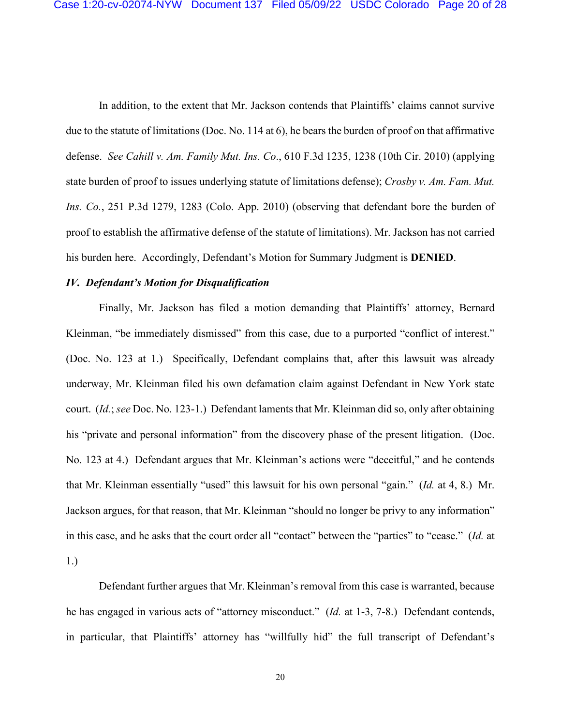In addition, to the extent that Mr. Jackson contends that Plaintiffs' claims cannot survive due to the statute of limitations (Doc. No. 114 at 6), he bears the burden of proof on that affirmative defense. *See Cahill v. Am. Family Mut. Ins. Co*., 610 F.3d 1235, 1238 (10th Cir. 2010) (applying state burden of proof to issues underlying statute of limitations defense); *Crosby v. Am. Fam. Mut. Ins. Co.*, 251 P.3d 1279, 1283 (Colo. App. 2010) (observing that defendant bore the burden of proof to establish the affirmative defense of the statute of limitations). Mr. Jackson has not carried his burden here. Accordingly, Defendant's Motion for Summary Judgment is **DENIED**.

# *IV. Defendant's Motion for Disqualification*

Finally, Mr. Jackson has filed a motion demanding that Plaintiffs' attorney, Bernard Kleinman, "be immediately dismissed" from this case, due to a purported "conflict of interest." (Doc. No. 123 at 1.) Specifically, Defendant complains that, after this lawsuit was already underway, Mr. Kleinman filed his own defamation claim against Defendant in New York state court. (*Id.*; *see* Doc. No. 123-1.) Defendant laments that Mr. Kleinman did so, only after obtaining his "private and personal information" from the discovery phase of the present litigation. (Doc. No. 123 at 4.) Defendant argues that Mr. Kleinman's actions were "deceitful," and he contends that Mr. Kleinman essentially "used" this lawsuit for his own personal "gain." (*Id.* at 4, 8.) Mr. Jackson argues, for that reason, that Mr. Kleinman "should no longer be privy to any information" in this case, and he asks that the court order all "contact" between the "parties" to "cease." (*Id.* at 1.)

Defendant further argues that Mr. Kleinman's removal from this case is warranted, because he has engaged in various acts of "attorney misconduct." (*Id.* at 1-3, 7-8.) Defendant contends, in particular, that Plaintiffs' attorney has "willfully hid" the full transcript of Defendant's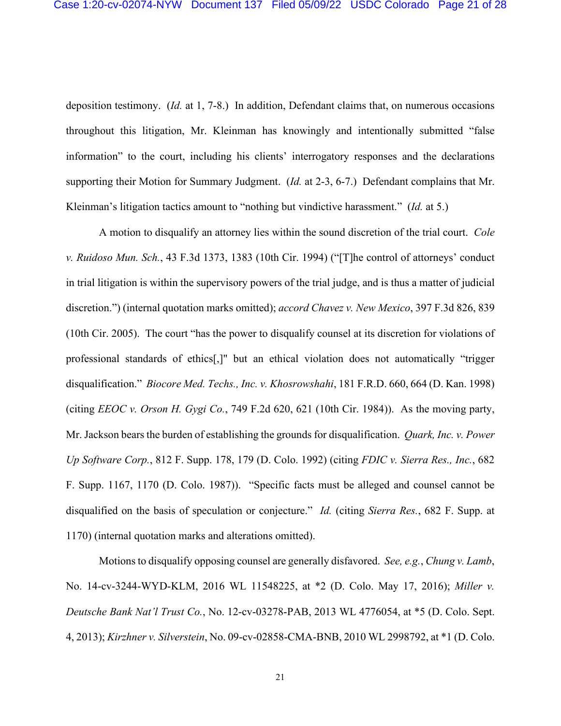deposition testimony. (*Id.* at 1, 7-8.) In addition, Defendant claims that, on numerous occasions throughout this litigation, Mr. Kleinman has knowingly and intentionally submitted "false information" to the court, including his clients' interrogatory responses and the declarations supporting their Motion for Summary Judgment. (*Id.* at 2-3, 6-7.) Defendant complains that Mr. Kleinman's litigation tactics amount to "nothing but vindictive harassment." (*Id.* at 5.)

A motion to disqualify an attorney lies within the sound discretion of the trial court. *Cole v. Ruidoso Mun. Sch.*, 43 F.3d 1373, 1383 (10th Cir. 1994) ("[T]he control of attorneys' conduct in trial litigation is within the supervisory powers of the trial judge, and is thus a matter of judicial discretion.") (internal quotation marks omitted); *accord Chavez v. New Mexico*, 397 F.3d 826, 839 (10th Cir. 2005). The court "has the power to disqualify counsel at its discretion for violations of professional standards of ethics[,]" but an ethical violation does not automatically "trigger disqualification." *Biocore Med. Techs., Inc. v. Khosrowshahi*, 181 F.R.D. 660, 664 (D. Kan. 1998) (citing *EEOC v. Orson H. Gygi Co.*, 749 F.2d 620, 621 (10th Cir. 1984)). As the moving party, Mr. Jackson bears the burden of establishing the grounds for disqualification. *Quark, Inc. v. Power Up Software Corp.*, 812 F. Supp. 178, 179 (D. Colo. 1992) (citing *FDIC v. Sierra Res., Inc.*, 682 F. Supp. 1167, 1170 (D. Colo. 1987)). "Specific facts must be alleged and counsel cannot be disqualified on the basis of speculation or conjecture." *Id.* (citing *Sierra Res.*, 682 F. Supp. at 1170) (internal quotation marks and alterations omitted).

Motions to disqualify opposing counsel are generally disfavored. *See, e.g.*, *Chung v. Lamb*, No. 14-cv-3244-WYD-KLM, 2016 WL 11548225, at \*2 (D. Colo. May 17, 2016); *Miller v. Deutsche Bank Nat'l Trust Co.*, No. 12-cv-03278-PAB, 2013 WL 4776054, at \*5 (D. Colo. Sept. 4, 2013); *Kirzhner v. Silverstein*, No. 09-cv-02858-CMA-BNB, 2010 WL 2998792, at \*1 (D. Colo.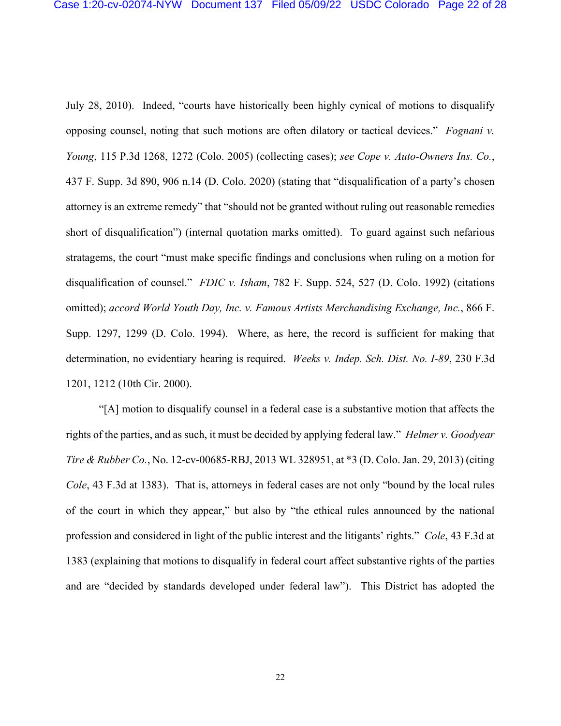July 28, 2010). Indeed, "courts have historically been highly cynical of motions to disqualify opposing counsel, noting that such motions are often dilatory or tactical devices." *Fognani v. Young*, 115 P.3d 1268, 1272 (Colo. 2005) (collecting cases); *see Cope v. Auto-Owners Ins. Co.*, 437 F. Supp. 3d 890, 906 n.14 (D. Colo. 2020) (stating that "disqualification of a party's chosen attorney is an extreme remedy" that "should not be granted without ruling out reasonable remedies short of disqualification") (internal quotation marks omitted).To guard against such nefarious stratagems, the court "must make specific findings and conclusions when ruling on a motion for disqualification of counsel." *FDIC v. Isham*, 782 F. Supp. 524, 527 (D. Colo. 1992) (citations omitted); *accord World Youth Day, Inc. v. Famous Artists Merchandising Exchange, Inc.*, 866 F. Supp. 1297, 1299 (D. Colo. 1994). Where, as here, the record is sufficient for making that determination, no evidentiary hearing is required. *Weeks v. Indep. Sch. Dist. No. I-89*, 230 F.3d 1201, 1212 (10th Cir. 2000).

"[A] motion to disqualify counsel in a federal case is a substantive motion that affects the rights of the parties, and as such, it must be decided by applying federal law." *Helmer v. Goodyear Tire & Rubber Co.*, No. 12-cv-00685-RBJ, 2013 WL 328951, at \*3 (D. Colo. Jan. 29, 2013) (citing *Cole*, 43 F.3d at 1383).That is, attorneys in federal cases are not only "bound by the local rules of the court in which they appear," but also by "the ethical rules announced by the national profession and considered in light of the public interest and the litigants' rights." *Cole*, 43 F.3d at 1383 (explaining that motions to disqualify in federal court affect substantive rights of the parties and are "decided by standards developed under federal law").This District has adopted the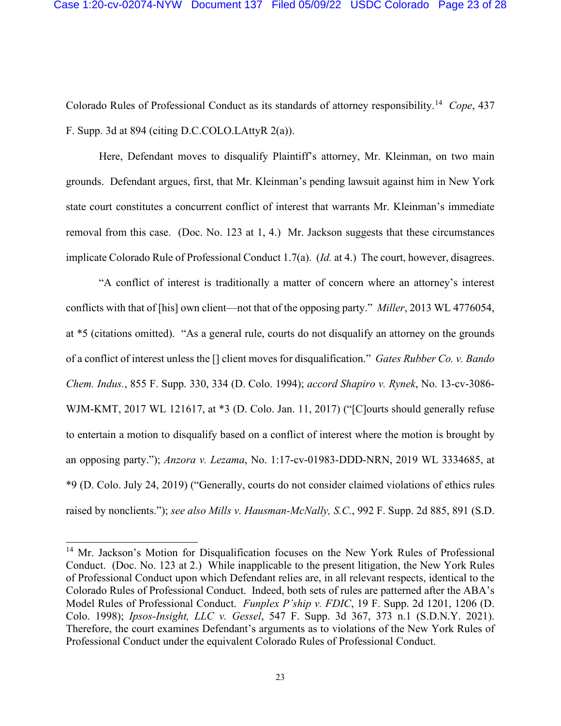Colorado Rules of Professional Conduct as its standards of attorney responsibility.14 *Cope*, 437 F. Supp. 3d at 894 (citing D.C.COLO.LAttyR 2(a)).

Here, Defendant moves to disqualify Plaintiff's attorney, Mr. Kleinman, on two main grounds. Defendant argues, first, that Mr. Kleinman's pending lawsuit against him in New York state court constitutes a concurrent conflict of interest that warrants Mr. Kleinman's immediate removal from this case. (Doc. No. 123 at 1, 4.) Mr. Jackson suggests that these circumstances implicate Colorado Rule of Professional Conduct 1.7(a). (*Id.* at 4.) The court, however, disagrees.

"A conflict of interest is traditionally a matter of concern where an attorney's interest conflicts with that of [his] own client—not that of the opposing party." *Miller*, 2013 WL 4776054, at \*5 (citations omitted). "As a general rule, courts do not disqualify an attorney on the grounds of a conflict of interest unless the [] client moves for disqualification." *Gates Rubber Co. v. Bando Chem. Indus.*, 855 F. Supp. 330, 334 (D. Colo. 1994); *accord Shapiro v. Rynek*, No. 13-cv-3086- WJM-KMT, 2017 WL 121617, at \*3 (D. Colo. Jan. 11, 2017) ("[C]ourts should generally refuse to entertain a motion to disqualify based on a conflict of interest where the motion is brought by an opposing party."); *Anzora v. Lezama*, No. 1:17-cv-01983-DDD-NRN, 2019 WL 3334685, at \*9 (D. Colo. July 24, 2019) ("Generally, courts do not consider claimed violations of ethics rules raised by nonclients."); *see also Mills v. Hausman-McNally, S.C.*, 992 F. Supp. 2d 885, 891 (S.D.

<sup>&</sup>lt;sup>14</sup> Mr. Jackson's Motion for Disqualification focuses on the New York Rules of Professional Conduct. (Doc. No. 123 at 2.) While inapplicable to the present litigation, the New York Rules of Professional Conduct upon which Defendant relies are, in all relevant respects, identical to the Colorado Rules of Professional Conduct. Indeed, both sets of rules are patterned after the ABA's Model Rules of Professional Conduct. *Funplex P'ship v. FDIC*, 19 F. Supp. 2d 1201, 1206 (D. Colo. 1998); *Ipsos-Insight, LLC v. Gessel*, 547 F. Supp. 3d 367, 373 n.1 (S.D.N.Y. 2021). Therefore, the court examines Defendant's arguments as to violations of the New York Rules of Professional Conduct under the equivalent Colorado Rules of Professional Conduct.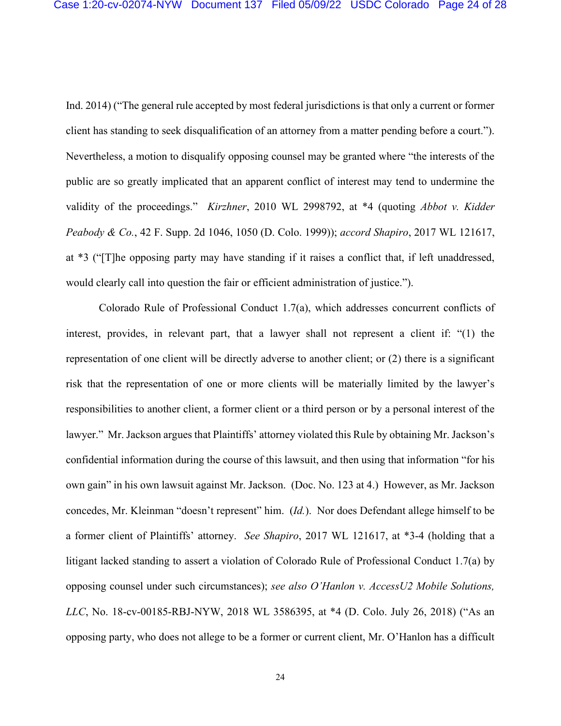Ind. 2014) ("The general rule accepted by most federal jurisdictions is that only a current or former client has standing to seek disqualification of an attorney from a matter pending before a court."). Nevertheless, a motion to disqualify opposing counsel may be granted where "the interests of the public are so greatly implicated that an apparent conflict of interest may tend to undermine the validity of the proceedings." *Kirzhner*, 2010 WL 2998792, at \*4 (quoting *Abbot v. Kidder Peabody & Co.*, 42 F. Supp. 2d 1046, 1050 (D. Colo. 1999)); *accord Shapiro*, 2017 WL 121617, at \*3 ("[T]he opposing party may have standing if it raises a conflict that, if left unaddressed, would clearly call into question the fair or efficient administration of justice.").

Colorado Rule of Professional Conduct 1.7(a), which addresses concurrent conflicts of interest, provides, in relevant part, that a lawyer shall not represent a client if: "(1) the representation of one client will be directly adverse to another client; or (2) there is a significant risk that the representation of one or more clients will be materially limited by the lawyer's responsibilities to another client, a former client or a third person or by a personal interest of the lawyer." Mr. Jackson argues that Plaintiffs' attorney violated this Rule by obtaining Mr. Jackson's confidential information during the course of this lawsuit, and then using that information "for his own gain" in his own lawsuit against Mr. Jackson. (Doc. No. 123 at 4.) However, as Mr. Jackson concedes, Mr. Kleinman "doesn't represent" him. (*Id.*). Nor does Defendant allege himself to be a former client of Plaintiffs' attorney. *See Shapiro*, 2017 WL 121617, at \*3-4 (holding that a litigant lacked standing to assert a violation of Colorado Rule of Professional Conduct 1.7(a) by opposing counsel under such circumstances); *see also O'Hanlon v. AccessU2 Mobile Solutions, LLC*, No. 18-cv-00185-RBJ-NYW, 2018 WL 3586395, at \*4 (D. Colo. July 26, 2018) ("As an opposing party, who does not allege to be a former or current client, Mr. O'Hanlon has a difficult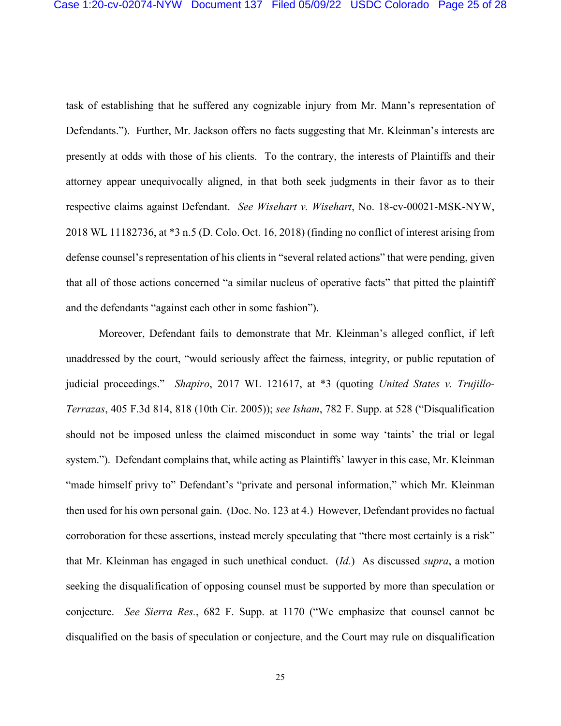task of establishing that he suffered any cognizable injury from Mr. Mann's representation of Defendants."). Further, Mr. Jackson offers no facts suggesting that Mr. Kleinman's interests are presently at odds with those of his clients. To the contrary, the interests of Plaintiffs and their attorney appear unequivocally aligned, in that both seek judgments in their favor as to their respective claims against Defendant. *See Wisehart v. Wisehart*, No. 18-cv-00021-MSK-NYW, 2018 WL 11182736, at \*3 n.5 (D. Colo. Oct. 16, 2018) (finding no conflict of interest arising from defense counsel's representation of his clients in "several related actions" that were pending, given that all of those actions concerned "a similar nucleus of operative facts" that pitted the plaintiff and the defendants "against each other in some fashion").

Moreover, Defendant fails to demonstrate that Mr. Kleinman's alleged conflict, if left unaddressed by the court, "would seriously affect the fairness, integrity, or public reputation of judicial proceedings." *Shapiro*, 2017 WL 121617, at \*3 (quoting *United States v. Trujillo-Terrazas*, 405 F.3d 814, 818 (10th Cir. 2005)); *see Isham*, 782 F. Supp. at 528 ("Disqualification should not be imposed unless the claimed misconduct in some way 'taints' the trial or legal system."). Defendant complains that, while acting as Plaintiffs' lawyer in this case, Mr. Kleinman "made himself privy to" Defendant's "private and personal information," which Mr. Kleinman then used for his own personal gain. (Doc. No. 123 at 4.) However, Defendant provides no factual corroboration for these assertions, instead merely speculating that "there most certainly is a risk" that Mr. Kleinman has engaged in such unethical conduct. (*Id.*) As discussed *supra*, a motion seeking the disqualification of opposing counsel must be supported by more than speculation or conjecture. *See Sierra Res.*, 682 F. Supp. at 1170 ("We emphasize that counsel cannot be disqualified on the basis of speculation or conjecture, and the Court may rule on disqualification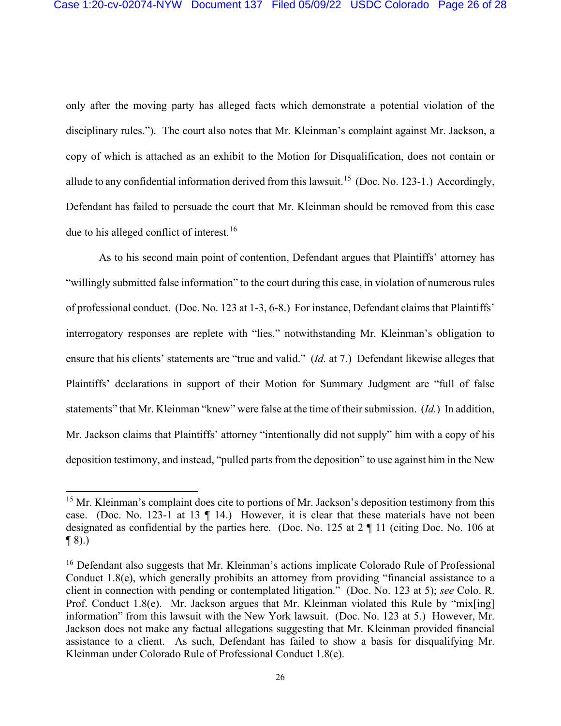only after the moving party has alleged facts which demonstrate a potential violation of the disciplinary rules.").The court also notes that Mr. Kleinman's complaint against Mr. Jackson, a copy of which is attached as an exhibit to the Motion for Disqualification, does not contain or allude to any confidential information derived from this lawsuit.<sup>15</sup> (Doc. No. 123-1.) Accordingly, Defendant has failed to persuade the court that Mr. Kleinman should be removed from this case due to his alleged conflict of interest.<sup>16</sup>

As to his second main point of contention, Defendant argues that Plaintiffs' attorney has "willingly submitted false information" to the court during this case, in violation of numerous rules of professional conduct. (Doc. No. 123 at 1-3, 6-8.) For instance, Defendant claims that Plaintiffs' interrogatory responses are replete with "lies," notwithstanding Mr. Kleinman's obligation to ensure that his clients' statements are "true and valid." (*Id.* at 7.) Defendant likewise alleges that Plaintiffs' declarations in support of their Motion for Summary Judgment are "full of false statements" that Mr. Kleinman "knew" were false at the time of their submission. (*Id.*) In addition, Mr. Jackson claims that Plaintiffs' attorney "intentionally did not supply" him with a copy of his deposition testimony, and instead, "pulled parts from the deposition" to use against him in the New

<sup>&</sup>lt;sup>15</sup> Mr. Kleinman's complaint does cite to portions of Mr. Jackson's deposition testimony from this case. (Doc. No. 123-1 at 13 ¶ 14.) However, it is clear that these materials have not been designated as confidential by the parties here. (Doc. No. 125 at 2 ¶ 11 (citing Doc. No. 106 at  $\P(8)$ .)

<sup>&</sup>lt;sup>16</sup> Defendant also suggests that Mr. Kleinman's actions implicate Colorado Rule of Professional Conduct 1.8(e), which generally prohibits an attorney from providing "financial assistance to a client in connection with pending or contemplated litigation." (Doc. No. 123 at 5); *see* Colo. R. Prof. Conduct 1.8(e). Mr. Jackson argues that Mr. Kleinman violated this Rule by "mix[ing] information" from this lawsuit with the New York lawsuit. (Doc. No. 123 at 5.) However, Mr. Jackson does not make any factual allegations suggesting that Mr. Kleinman provided financial assistance to a client. As such, Defendant has failed to show a basis for disqualifying Mr. Kleinman under Colorado Rule of Professional Conduct 1.8(e).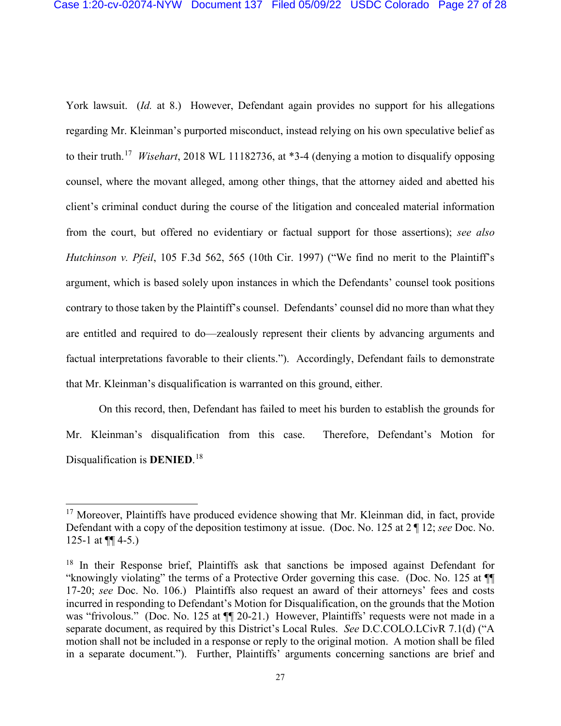York lawsuit. (*Id.* at 8.) However, Defendant again provides no support for his allegations regarding Mr. Kleinman's purported misconduct, instead relying on his own speculative belief as to their truth. 17 *Wisehart*, 2018 WL 11182736, at \*3-4 (denying a motion to disqualify opposing counsel, where the movant alleged, among other things, that the attorney aided and abetted his client's criminal conduct during the course of the litigation and concealed material information from the court, but offered no evidentiary or factual support for those assertions); *see also Hutchinson v. Pfeil*, 105 F.3d 562, 565 (10th Cir. 1997) ("We find no merit to the Plaintiff's argument, which is based solely upon instances in which the Defendants' counsel took positions contrary to those taken by the Plaintiff's counsel. Defendants' counsel did no more than what they are entitled and required to do—zealously represent their clients by advancing arguments and factual interpretations favorable to their clients."). Accordingly, Defendant fails to demonstrate that Mr. Kleinman's disqualification is warranted on this ground, either.

On this record, then, Defendant has failed to meet his burden to establish the grounds for Mr. Kleinman's disqualification from this case. Therefore, Defendant's Motion for Disqualification is **DENIED**. 18

<sup>&</sup>lt;sup>17</sup> Moreover, Plaintiffs have produced evidence showing that Mr. Kleinman did, in fact, provide Defendant with a copy of the deposition testimony at issue. (Doc. No. 125 at 2 ¶ 12; *see* Doc. No. 125-1 at  $\P\P$  4-5.)

<sup>&</sup>lt;sup>18</sup> In their Response brief, Plaintiffs ask that sanctions be imposed against Defendant for "knowingly violating" the terms of a Protective Order governing this case. (Doc. No. 125 at ¶¶ 17-20; *see* Doc. No. 106.) Plaintiffs also request an award of their attorneys' fees and costs incurred in responding to Defendant's Motion for Disqualification, on the grounds that the Motion was "frivolous." (Doc. No. 125 at  $\P$  20-21.) However, Plaintiffs' requests were not made in a separate document, as required by this District's Local Rules. *See* D.C.COLO.LCivR 7.1(d) ("A motion shall not be included in a response or reply to the original motion. A motion shall be filed in a separate document."). Further, Plaintiffs' arguments concerning sanctions are brief and